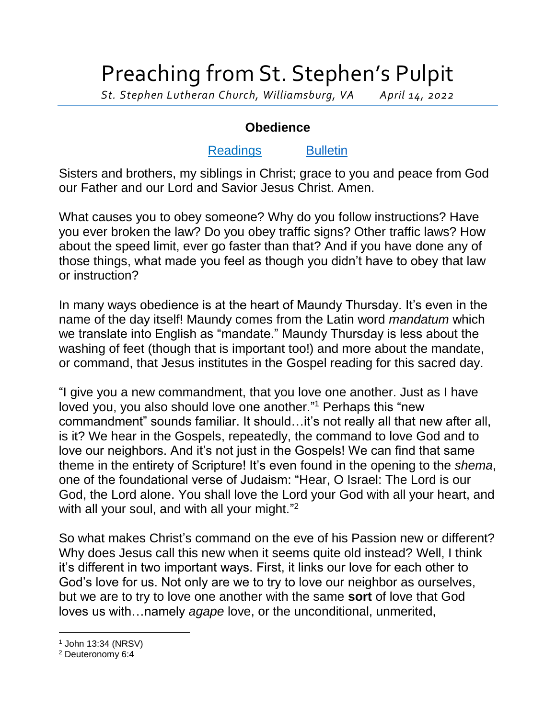## Preaching from St. Stephen's Pulpit

*St. Stephen Lutheran Church, Williamsburg, VA April 14, 2022*

## **Obedience**

## [Readings](https://lectionarypage.net/YearC_RCL/HolyDays/CPalmSun_RCL.html) [Bulletin](http://www.saintstephenlutheran.net/sunday-bulletins/)

Sisters and brothers, my siblings in Christ; grace to you and peace from God our Father and our Lord and Savior Jesus Christ. Amen.

What causes you to obey someone? Why do you follow instructions? Have you ever broken the law? Do you obey traffic signs? Other traffic laws? How about the speed limit, ever go faster than that? And if you have done any of those things, what made you feel as though you didn't have to obey that law or instruction?

In many ways obedience is at the heart of Maundy Thursday. It's even in the name of the day itself! Maundy comes from the Latin word *mandatum* which we translate into English as "mandate." Maundy Thursday is less about the washing of feet (though that is important too!) and more about the mandate, or command, that Jesus institutes in the Gospel reading for this sacred day.

"I give you a new commandment, that you love one another. Just as I have loved you, you also should love one another." <sup>1</sup> Perhaps this "new commandment" sounds familiar. It should…it's not really all that new after all, is it? We hear in the Gospels, repeatedly, the command to love God and to love our neighbors. And it's not just in the Gospels! We can find that same theme in the entirety of Scripture! It's even found in the opening to the *shema*, one of the foundational verse of Judaism: "Hear, O Israel: The Lord is our God, the Lord alone. You shall love the Lord your God with all your heart, and with all your soul, and with all your might."<sup>2</sup>

So what makes Christ's command on the eve of his Passion new or different? Why does Jesus call this new when it seems quite old instead? Well, I think it's different in two important ways. First, it links our love for each other to God's love for us. Not only are we to try to love our neighbor as ourselves, but we are to try to love one another with the same **sort** of love that God loves us with…namely *agape* love, or the unconditional, unmerited,

l <sup>1</sup> John 13:34 (NRSV)

<sup>2</sup> Deuteronomy 6:4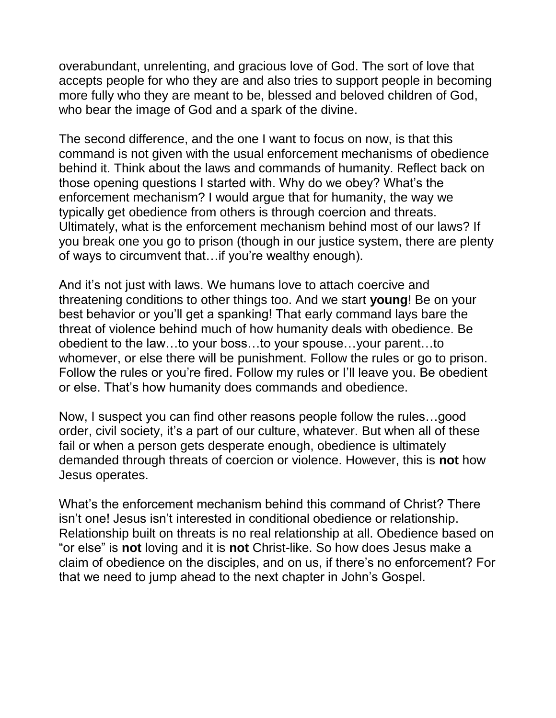overabundant, unrelenting, and gracious love of God. The sort of love that accepts people for who they are and also tries to support people in becoming more fully who they are meant to be, blessed and beloved children of God, who bear the image of God and a spark of the divine.

The second difference, and the one I want to focus on now, is that this command is not given with the usual enforcement mechanisms of obedience behind it. Think about the laws and commands of humanity. Reflect back on those opening questions I started with. Why do we obey? What's the enforcement mechanism? I would argue that for humanity, the way we typically get obedience from others is through coercion and threats. Ultimately, what is the enforcement mechanism behind most of our laws? If you break one you go to prison (though in our justice system, there are plenty of ways to circumvent that…if you're wealthy enough).

And it's not just with laws. We humans love to attach coercive and threatening conditions to other things too. And we start **young**! Be on your best behavior or you'll get a spanking! That early command lays bare the threat of violence behind much of how humanity deals with obedience. Be obedient to the law…to your boss…to your spouse…your parent…to whomever, or else there will be punishment. Follow the rules or go to prison. Follow the rules or you're fired. Follow my rules or I'll leave you. Be obedient or else. That's how humanity does commands and obedience.

Now, I suspect you can find other reasons people follow the rules…good order, civil society, it's a part of our culture, whatever. But when all of these fail or when a person gets desperate enough, obedience is ultimately demanded through threats of coercion or violence. However, this is **not** how Jesus operates.

What's the enforcement mechanism behind this command of Christ? There isn't one! Jesus isn't interested in conditional obedience or relationship. Relationship built on threats is no real relationship at all. Obedience based on "or else" is **not** loving and it is **not** Christ-like. So how does Jesus make a claim of obedience on the disciples, and on us, if there's no enforcement? For that we need to jump ahead to the next chapter in John's Gospel.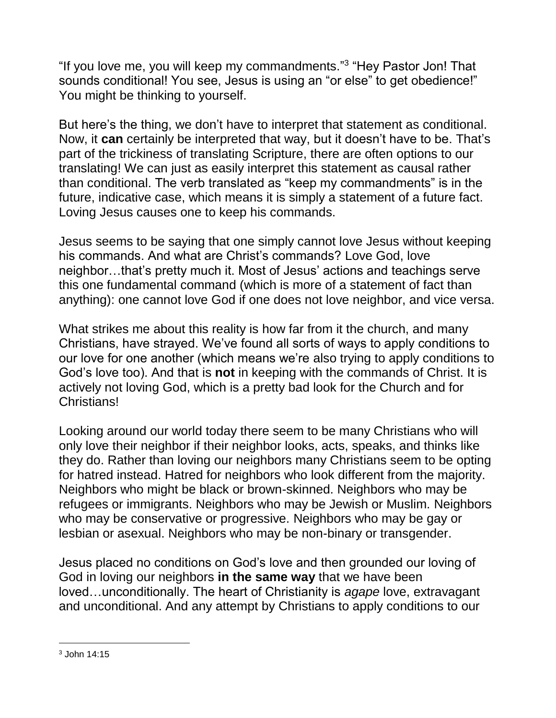"If you love me, you will keep my commandments." 3 "Hey Pastor Jon! That sounds conditional! You see, Jesus is using an "or else" to get obedience!" You might be thinking to yourself.

But here's the thing, we don't have to interpret that statement as conditional. Now, it **can** certainly be interpreted that way, but it doesn't have to be. That's part of the trickiness of translating Scripture, there are often options to our translating! We can just as easily interpret this statement as causal rather than conditional. The verb translated as "keep my commandments" is in the future, indicative case, which means it is simply a statement of a future fact. Loving Jesus causes one to keep his commands.

Jesus seems to be saying that one simply cannot love Jesus without keeping his commands. And what are Christ's commands? Love God, love neighbor…that's pretty much it. Most of Jesus' actions and teachings serve this one fundamental command (which is more of a statement of fact than anything): one cannot love God if one does not love neighbor, and vice versa.

What strikes me about this reality is how far from it the church, and many Christians, have strayed. We've found all sorts of ways to apply conditions to our love for one another (which means we're also trying to apply conditions to God's love too). And that is **not** in keeping with the commands of Christ. It is actively not loving God, which is a pretty bad look for the Church and for Christians!

Looking around our world today there seem to be many Christians who will only love their neighbor if their neighbor looks, acts, speaks, and thinks like they do. Rather than loving our neighbors many Christians seem to be opting for hatred instead. Hatred for neighbors who look different from the majority. Neighbors who might be black or brown-skinned. Neighbors who may be refugees or immigrants. Neighbors who may be Jewish or Muslim. Neighbors who may be conservative or progressive. Neighbors who may be gay or lesbian or asexual. Neighbors who may be non-binary or transgender.

Jesus placed no conditions on God's love and then grounded our loving of God in loving our neighbors **in the same way** that we have been loved…unconditionally. The heart of Christianity is *agape* love, extravagant and unconditional. And any attempt by Christians to apply conditions to our

l

<sup>3</sup> John 14:15